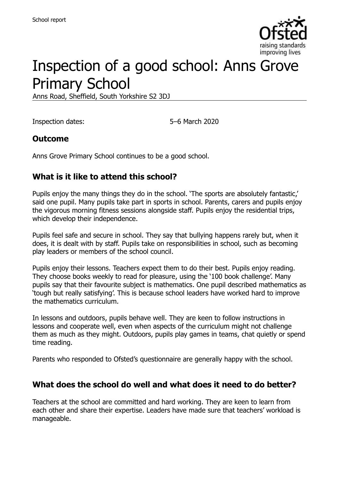

# Inspection of a good school: Anns Grove Primary School

Anns Road, Sheffield, South Yorkshire S2 3DJ

Inspection dates: 5–6 March 2020

### **Outcome**

Anns Grove Primary School continues to be a good school.

### **What is it like to attend this school?**

Pupils enjoy the many things they do in the school. 'The sports are absolutely fantastic,' said one pupil. Many pupils take part in sports in school. Parents, carers and pupils enjoy the vigorous morning fitness sessions alongside staff. Pupils enjoy the residential trips, which develop their independence.

Pupils feel safe and secure in school. They say that bullying happens rarely but, when it does, it is dealt with by staff. Pupils take on responsibilities in school, such as becoming play leaders or members of the school council.

Pupils enjoy their lessons. Teachers expect them to do their best. Pupils enjoy reading. They choose books weekly to read for pleasure, using the '100 book challenge'. Many pupils say that their favourite subject is mathematics. One pupil described mathematics as 'tough but really satisfying'. This is because school leaders have worked hard to improve the mathematics curriculum.

In lessons and outdoors, pupils behave well. They are keen to follow instructions in lessons and cooperate well, even when aspects of the curriculum might not challenge them as much as they might. Outdoors, pupils play games in teams, chat quietly or spend time reading.

Parents who responded to Ofsted's questionnaire are generally happy with the school.

### **What does the school do well and what does it need to do better?**

Teachers at the school are committed and hard working. They are keen to learn from each other and share their expertise. Leaders have made sure that teachers' workload is manageable.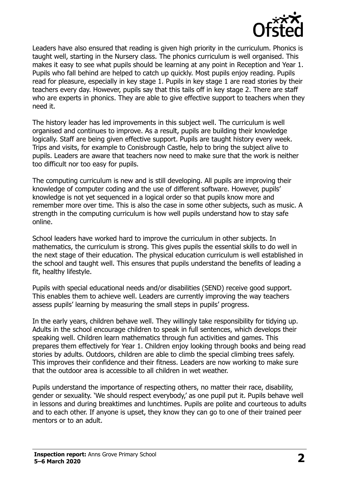

Leaders have also ensured that reading is given high priority in the curriculum. Phonics is taught well, starting in the Nursery class. The phonics curriculum is well organised. This makes it easy to see what pupils should be learning at any point in Reception and Year 1. Pupils who fall behind are helped to catch up quickly. Most pupils enjoy reading. Pupils read for pleasure, especially in key stage 1. Pupils in key stage 1 are read stories by their teachers every day. However, pupils say that this tails off in key stage 2. There are staff who are experts in phonics. They are able to give effective support to teachers when they need it.

The history leader has led improvements in this subject well. The curriculum is well organised and continues to improve. As a result, pupils are building their knowledge logically. Staff are being given effective support. Pupils are taught history every week. Trips and visits, for example to Conisbrough Castle, help to bring the subject alive to pupils. Leaders are aware that teachers now need to make sure that the work is neither too difficult nor too easy for pupils.

The computing curriculum is new and is still developing. All pupils are improving their knowledge of computer coding and the use of different software. However, pupils' knowledge is not yet sequenced in a logical order so that pupils know more and remember more over time. This is also the case in some other subjects, such as music. A strength in the computing curriculum is how well pupils understand how to stay safe online.

School leaders have worked hard to improve the curriculum in other subjects. In mathematics, the curriculum is strong. This gives pupils the essential skills to do well in the next stage of their education. The physical education curriculum is well established in the school and taught well. This ensures that pupils understand the benefits of leading a fit, healthy lifestyle.

Pupils with special educational needs and/or disabilities (SEND) receive good support. This enables them to achieve well. Leaders are currently improving the way teachers assess pupils' learning by measuring the small steps in pupils' progress.

In the early years, children behave well. They willingly take responsibility for tidying up. Adults in the school encourage children to speak in full sentences, which develops their speaking well. Children learn mathematics through fun activities and games. This prepares them effectively for Year 1. Children enjoy looking through books and being read stories by adults. Outdoors, children are able to climb the special climbing trees safely. This improves their confidence and their fitness. Leaders are now working to make sure that the outdoor area is accessible to all children in wet weather.

Pupils understand the importance of respecting others, no matter their race, disability, gender or sexuality. 'We should respect everybody,' as one pupil put it. Pupils behave well in lessons and during breaktimes and lunchtimes. Pupils are polite and courteous to adults and to each other. If anyone is upset, they know they can go to one of their trained peer mentors or to an adult.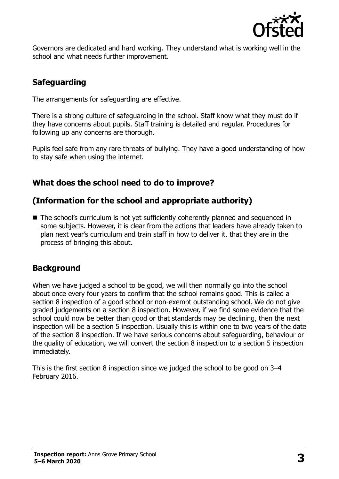

Governors are dedicated and hard working. They understand what is working well in the school and what needs further improvement.

# **Safeguarding**

The arrangements for safeguarding are effective.

There is a strong culture of safeguarding in the school. Staff know what they must do if they have concerns about pupils. Staff training is detailed and regular. Procedures for following up any concerns are thorough.

Pupils feel safe from any rare threats of bullying. They have a good understanding of how to stay safe when using the internet.

# **What does the school need to do to improve?**

# **(Information for the school and appropriate authority)**

■ The school's curriculum is not yet sufficiently coherently planned and sequenced in some subjects. However, it is clear from the actions that leaders have already taken to plan next year's curriculum and train staff in how to deliver it, that they are in the process of bringing this about.

# **Background**

When we have judged a school to be good, we will then normally go into the school about once every four years to confirm that the school remains good. This is called a section 8 inspection of a good school or non-exempt outstanding school. We do not give graded judgements on a section 8 inspection. However, if we find some evidence that the school could now be better than good or that standards may be declining, then the next inspection will be a section 5 inspection. Usually this is within one to two years of the date of the section 8 inspection. If we have serious concerns about safeguarding, behaviour or the quality of education, we will convert the section 8 inspection to a section 5 inspection immediately.

This is the first section 8 inspection since we judged the school to be good on 3–4 February 2016.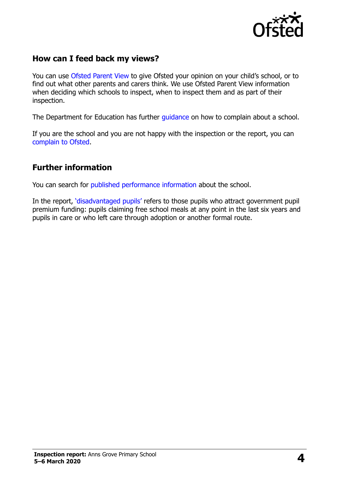

## **How can I feed back my views?**

You can use [Ofsted Parent View](https://parentview.ofsted.gov.uk/) to give Ofsted your opinion on your child's school, or to find out what other parents and carers think. We use Ofsted Parent View information when deciding which schools to inspect, when to inspect them and as part of their inspection.

The Department for Education has further quidance on how to complain about a school.

If you are the school and you are not happy with the inspection or the report, you can [complain to Ofsted.](https://www.gov.uk/complain-ofsted-report)

### **Further information**

You can search for [published performance information](http://www.compare-school-performance.service.gov.uk/) about the school.

In the report, '[disadvantaged pupils](http://www.gov.uk/guidance/pupil-premium-information-for-schools-and-alternative-provision-settings)' refers to those pupils who attract government pupil premium funding: pupils claiming free school meals at any point in the last six years and pupils in care or who left care through adoption or another formal route.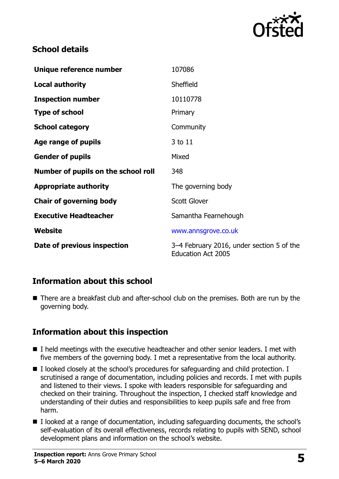

# **School details**

| Unique reference number             | 107086                                                                 |
|-------------------------------------|------------------------------------------------------------------------|
| <b>Local authority</b>              | Sheffield                                                              |
| <b>Inspection number</b>            | 10110778                                                               |
| <b>Type of school</b>               | Primary                                                                |
| <b>School category</b>              | Community                                                              |
| Age range of pupils                 | 3 to 11                                                                |
| <b>Gender of pupils</b>             | Mixed                                                                  |
| Number of pupils on the school roll | 348                                                                    |
| <b>Appropriate authority</b>        | The governing body                                                     |
| <b>Chair of governing body</b>      | <b>Scott Glover</b>                                                    |
| <b>Executive Headteacher</b>        | Samantha Fearnehough                                                   |
| Website                             | www.annsgrove.co.uk                                                    |
| Date of previous inspection         | 3–4 February 2016, under section 5 of the<br><b>Education Act 2005</b> |

### **Information about this school**

■ There are a breakfast club and after-school club on the premises. Both are run by the governing body.

# **Information about this inspection**

- I held meetings with the executive headteacher and other senior leaders. I met with five members of the governing body. I met a representative from the local authority.
- $\blacksquare$  I looked closely at the school's procedures for safeguarding and child protection. I scrutinised a range of documentation, including policies and records. I met with pupils and listened to their views. I spoke with leaders responsible for safeguarding and checked on their training. Throughout the inspection, I checked staff knowledge and understanding of their duties and responsibilities to keep pupils safe and free from harm.
- I looked at a range of documentation, including safeguarding documents, the school's self-evaluation of its overall effectiveness, records relating to pupils with SEND, school development plans and information on the school's website.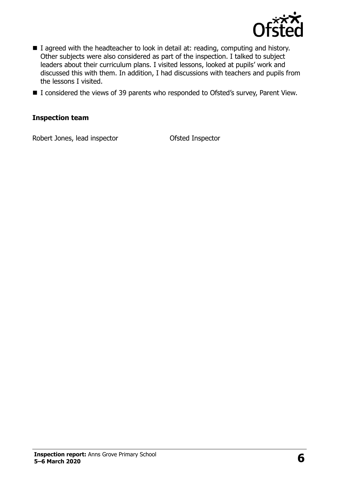

- I agreed with the headteacher to look in detail at: reading, computing and history. Other subjects were also considered as part of the inspection. I talked to subject leaders about their curriculum plans. I visited lessons, looked at pupils' work and discussed this with them. In addition, I had discussions with teachers and pupils from the lessons I visited.
- I considered the views of 39 parents who responded to Ofsted's survey, Parent View.

#### **Inspection team**

Robert Jones, lead inspector **Contact Contact Contact Contact Contact Contact Contact Contact Contact Contact Contact Contact Contact Contact Contact Contact Contact Contact Contact Contact Contact Contact Contact Contact**